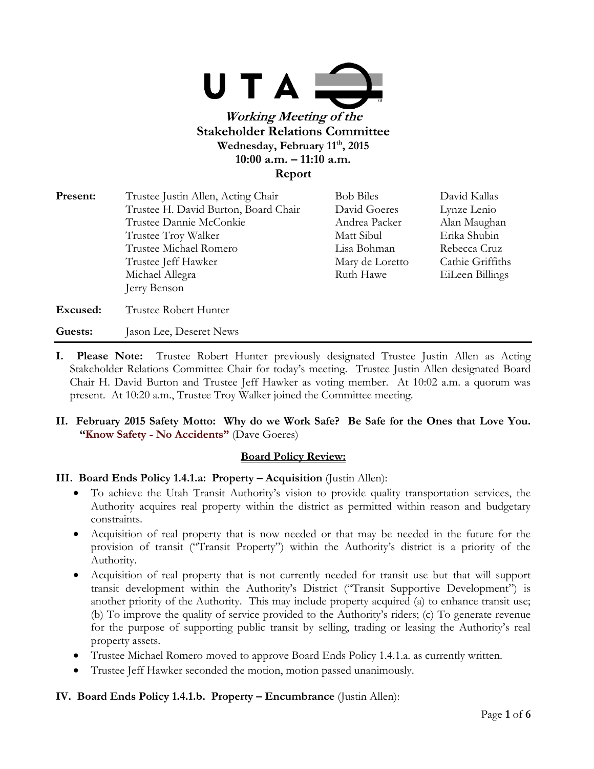

| Present: | Trustee Justin Allen, Acting Chair   | <b>Bob Biles</b> | David Kallas     |
|----------|--------------------------------------|------------------|------------------|
|          | Trustee H. David Burton, Board Chair | David Goeres     | Lynze Lenio      |
|          | Trustee Dannie McConkie              | Andrea Packer    | Alan Maughan     |
|          | Trustee Troy Walker                  | Matt Sibul       | Erika Shubin     |
|          | Trustee Michael Romero               | Lisa Bohman      | Rebecca Cruz     |
|          | Trustee Jeff Hawker                  | Mary de Loretto  | Cathie Griffiths |
|          | Michael Allegra                      | Ruth Hawe        | EiLeen Billings  |
|          | Jerry Benson                         |                  |                  |
| Excused: | Trustee Robert Hunter                |                  |                  |
| Guests:  | Jason Lee, Deseret News              |                  |                  |

- **I. Please Note:** Trustee Robert Hunter previously designated Trustee Justin Allen as Acting Stakeholder Relations Committee Chair for today's meeting. Trustee Justin Allen designated Board Chair H. David Burton and Trustee Jeff Hawker as voting member. At 10:02 a.m. a quorum was present. At 10:20 a.m., Trustee Troy Walker joined the Committee meeting.
- **II. February 2015 Safety Motto: Why do we Work Safe? Be Safe for the Ones that Love You. "Know Safety - No Accidents"** (Dave Goeres)

### **Board Policy Review:**

### **III. Board Ends Policy 1.4.1.a: Property – Acquisition** (Justin Allen):

- To achieve the Utah Transit Authority's vision to provide quality transportation services, the Authority acquires real property within the district as permitted within reason and budgetary constraints.
- Acquisition of real property that is now needed or that may be needed in the future for the provision of transit ("Transit Property") within the Authority's district is a priority of the Authority.
- Acquisition of real property that is not currently needed for transit use but that will support transit development within the Authority's District ("Transit Supportive Development") is another priority of the Authority. This may include property acquired (a) to enhance transit use; (b) To improve the quality of service provided to the Authority's riders; (c) To generate revenue for the purpose of supporting public transit by selling, trading or leasing the Authority's real property assets.
- Trustee Michael Romero moved to approve Board Ends Policy 1.4.1.a. as currently written.
- Trustee Jeff Hawker seconded the motion, motion passed unanimously.

### **IV. Board Ends Policy 1.4.1.b. Property – Encumbrance (Justin Allen):**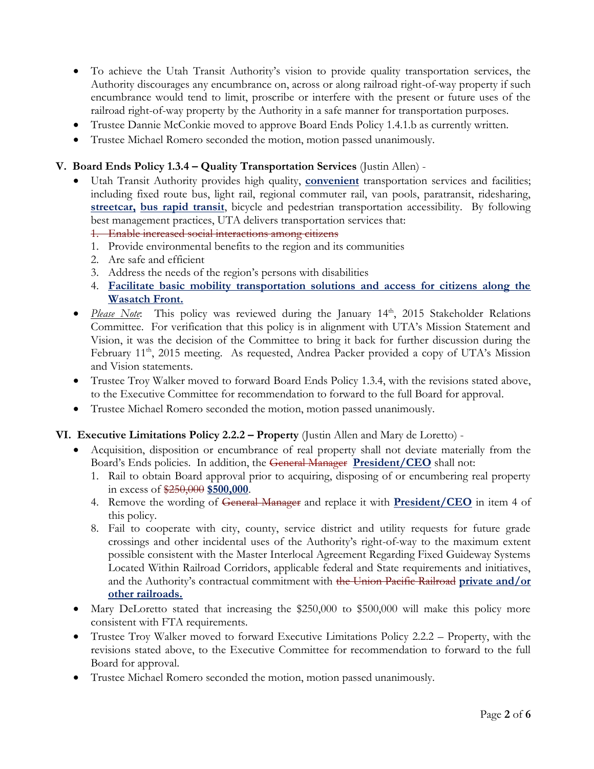- To achieve the Utah Transit Authority's vision to provide quality transportation services, the Authority discourages any encumbrance on, across or along railroad right-of-way property if such encumbrance would tend to limit, proscribe or interfere with the present or future uses of the railroad right-of-way property by the Authority in a safe manner for transportation purposes.
- Trustee Dannie McConkie moved to approve Board Ends Policy 1.4.1.b as currently written.
- Trustee Michael Romero seconded the motion, motion passed unanimously.

### **V. Board Ends Policy 1.3.4 – Quality Transportation Services** (Justin Allen) -

- Utah Transit Authority provides high quality, **convenient** transportation services and facilities; including fixed route bus, light rail, regional commuter rail, van pools, paratransit, ridesharing, **streetcar, bus rapid transit**, bicycle and pedestrian transportation accessibility. By following best management practices, UTA delivers transportation services that:
	- 1. Enable increased social interactions among citizens
	- 1. Provide environmental benefits to the region and its communities
	- 2. Are safe and efficient
	- 3. Address the needs of the region's persons with disabilities
	- 4. **Facilitate basic mobility transportation solutions and access for citizens along the Wasatch Front.**
- *Please Note*: This policy was reviewed during the January 14<sup>th</sup>, 2015 Stakeholder Relations Committee. For verification that this policy is in alignment with UTA's Mission Statement and Vision, it was the decision of the Committee to bring it back for further discussion during the February 11<sup>th</sup>, 2015 meeting. As requested, Andrea Packer provided a copy of UTA's Mission and Vision statements.
- Trustee Troy Walker moved to forward Board Ends Policy 1.3.4, with the revisions stated above, to the Executive Committee for recommendation to forward to the full Board for approval.
- Trustee Michael Romero seconded the motion, motion passed unanimously.

#### **VI. Executive Limitations Policy 2.2.2 – Property** (Justin Allen and Mary de Loretto) -

- Acquisition, disposition or encumbrance of real property shall not deviate materially from the Board's Ends policies. In addition, the General Manager **President/CEO** shall not:
	- 1. Rail to obtain Board approval prior to acquiring, disposing of or encumbering real property in excess of \$250,000 **\$500,000**.
	- 4. Remove the wording of General Manager and replace it with **President/CEO** in item 4 of this policy.
	- 8. Fail to cooperate with city, county, service district and utility requests for future grade crossings and other incidental uses of the Authority's right-of-way to the maximum extent possible consistent with the Master Interlocal Agreement Regarding Fixed Guideway Systems Located Within Railroad Corridors, applicable federal and State requirements and initiatives, and the Authority's contractual commitment with the Union Pacific Railroad **private and/or other railroads.**
- Mary DeLoretto stated that increasing the \$250,000 to \$500,000 will make this policy more consistent with FTA requirements.
- Trustee Troy Walker moved to forward Executive Limitations Policy 2.2.2 Property, with the revisions stated above, to the Executive Committee for recommendation to forward to the full Board for approval.
- Trustee Michael Romero seconded the motion, motion passed unanimously.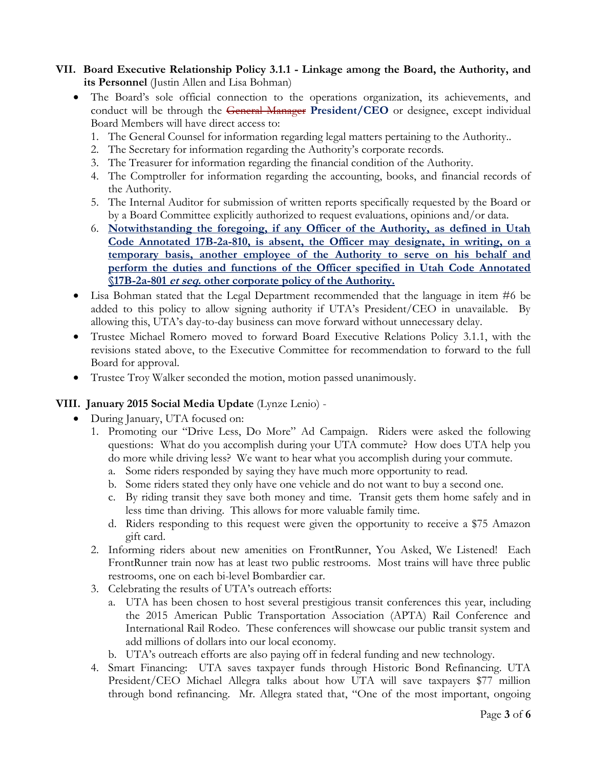# **VII. Board Executive Relationship Policy 3.1.1 - Linkage among the Board, the Authority, and its Personnel** (Justin Allen and Lisa Bohman)

- The Board's sole official connection to the operations organization, its achievements, and conduct will be through the General Manager **President/CEO** or designee, except individual Board Members will have direct access to:
	- 1. The General Counsel for information regarding legal matters pertaining to the Authority..
	- 2. The Secretary for information regarding the Authority's corporate records.
	- 3. The Treasurer for information regarding the financial condition of the Authority.
	- 4. The Comptroller for information regarding the accounting, books, and financial records of the Authority.
	- 5. The Internal Auditor for submission of written reports specifically requested by the Board or by a Board Committee explicitly authorized to request evaluations, opinions and/or data.
	- 6. **Notwithstanding the foregoing, if any Officer of the Authority, as defined in Utah Code Annotated 17B-2a-810, is absent, the Officer may designate, in writing, on a temporary basis, another employee of the Authority to serve on his behalf and perform the duties and functions of the Officer specified in Utah Code Annotated §17B-2a-801 et seq. other corporate policy of the Authority.**
- Lisa Bohman stated that the Legal Department recommended that the language in item #6 be added to this policy to allow signing authority if UTA's President/CEO in unavailable. By allowing this, UTA's day-to-day business can move forward without unnecessary delay.
- Trustee Michael Romero moved to forward Board Executive Relations Policy 3.1.1, with the revisions stated above, to the Executive Committee for recommendation to forward to the full Board for approval.
- Trustee Troy Walker seconded the motion, motion passed unanimously.

# **VIII. January 2015 Social Media Update** (Lynze Lenio) -

- During January, UTA focused on:
	- 1. Promoting our "Drive Less, Do More" Ad Campaign. Riders were asked the following questions: What do you accomplish during your UTA commute? How does UTA help you do more while driving less? We want to hear what you accomplish during your commute.
		- a. Some riders responded by saying they have much more opportunity to read.
		- b. Some riders stated they only have one vehicle and do not want to buy a second one.
		- c. By riding transit they save both money and time. Transit gets them home safely and in less time than driving. This allows for more valuable family time.
		- d. Riders responding to this request were given the opportunity to receive a \$75 Amazon gift card.
	- 2. Informing riders about new amenities on FrontRunner, You Asked, We Listened! Each FrontRunner train now has at least two public restrooms. Most trains will have three public restrooms, one on each bi-level Bombardier car.
	- 3. Celebrating the results of UTA's outreach efforts:
		- a. UTA has been chosen to host several prestigious transit conferences this year, including the 2015 American Public Transportation Association (APTA) Rail Conference and International Rail Rodeo. These conferences will showcase our public transit system and add millions of dollars into our local economy.
		- b. UTA's outreach efforts are also paying off in federal funding and new technology.
	- 4. Smart Financing: UTA saves taxpayer funds through Historic Bond Refinancing. UTA President/CEO Michael Allegra talks about how UTA will save taxpayers \$77 million through bond refinancing. Mr. Allegra stated that, "One of the most important, ongoing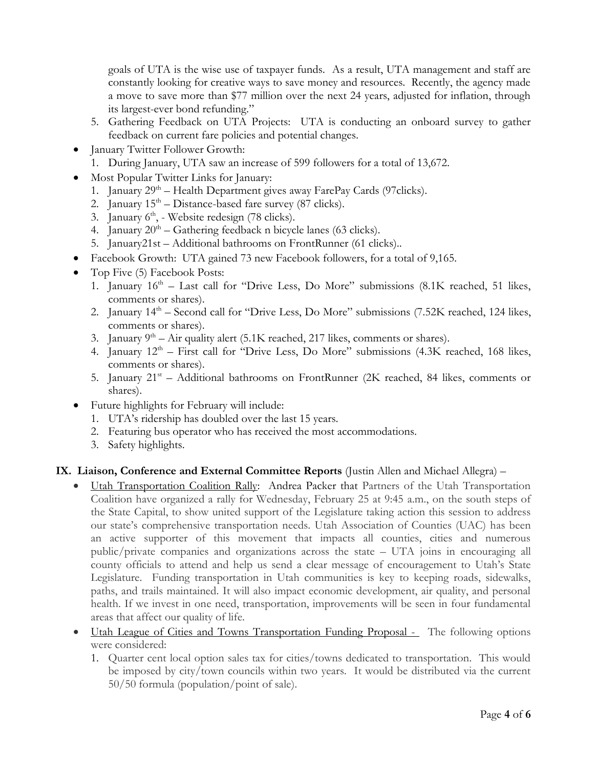goals of UTA is the wise use of taxpayer funds. As a result, UTA management and staff are constantly looking for creative ways to save money and resources. Recently, the agency made a move to save more than \$77 million over the next 24 years, adjusted for inflation, through its largest-ever bond refunding."

- 5. Gathering Feedback on UTA Projects: UTA is conducting an onboard survey to gather feedback on current fare policies and potential changes.
- January Twitter Follower Growth:
	- 1. During January, UTA saw an increase of 599 followers for a total of 13,672.
- Most Popular Twitter Links for January:
	- 1. January 29<sup>th</sup> Health Department gives away FarePay Cards (97clicks).
	- 2. January  $15<sup>th</sup> Distance-based fare survey (87 clicks).$
	- 3. January 6<sup>th</sup>, Website redesign (78 clicks).
	- 4. January  $20<sup>th</sup> \text{Gathering feedback n bicycle lanes (63 clicks)}.$
	- 5. January21st Additional bathrooms on FrontRunner (61 clicks)..
- Facebook Growth: UTA gained 73 new Facebook followers, for a total of 9,165.
- Top Five (5) Facebook Posts:
	- 1. January  $16<sup>th</sup>$  Last call for "Drive Less, Do More" submissions (8.1K reached, 51 likes, comments or shares).
	- 2. January  $14<sup>th</sup>$  Second call for "Drive Less, Do More" submissions (7.52K reached, 124 likes, comments or shares).
	- 3. January  $9<sup>th</sup> Air quality alert (5.1K reached, 217 likes, comments or shares).$
	- 4. January  $12<sup>th</sup>$  First call for "Drive Less, Do More" submissions (4.3K reached, 168 likes, comments or shares).
	- 5. January 21<sup>st</sup> Additional bathrooms on FrontRunner (2K reached, 84 likes, comments or shares).
- Future highlights for February will include:
	- 1. UTA's ridership has doubled over the last 15 years.
	- 2. Featuring bus operator who has received the most accommodations.
	- 3. Safety highlights.

### **IX. Liaison, Conference and External Committee Reports** (Justin Allen and Michael Allegra) –

- Utah Transportation Coalition Rally: Andrea Packer that Partners of the Utah Transportation Coalition have organized a rally for Wednesday, February 25 at 9:45 a.m., on the south steps of the State Capital, to show united support of the Legislature taking action this session to address our state's comprehensive transportation needs. Utah Association of Counties (UAC) has been an active supporter of this movement that impacts all counties, cities and numerous public/private companies and organizations across the state – UTA joins in encouraging all county officials to attend and help us send a clear message of encouragement to Utah's State Legislature. Funding transportation in Utah communities is key to keeping roads, sidewalks, paths, and trails maintained. It will also impact economic development, air quality, and personal health. If we invest in one need, transportation, improvements will be seen in four fundamental areas that affect our quality of life.
- Utah League of Cities and Towns Transportation Funding Proposal The following options were considered:
	- 1. Quarter cent local option sales tax for cities/towns dedicated to transportation. This would be imposed by city/town councils within two years. It would be distributed via the current 50/50 formula (population/point of sale).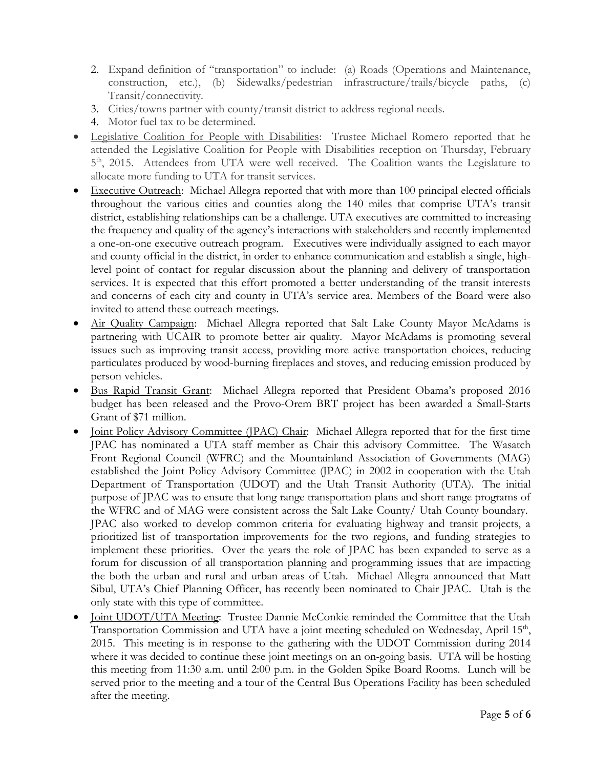- 2. Expand definition of "transportation" to include: (a) Roads (Operations and Maintenance, construction, etc.), (b) Sidewalks/pedestrian infrastructure/trails/bicycle paths, (c) Transit/connectivity.
- 3. Cities/towns partner with county/transit district to address regional needs.
- 4. Motor fuel tax to be determined.
- Legislative Coalition for People with Disabilities: Trustee Michael Romero reported that he attended the Legislative Coalition for People with Disabilities reception on Thursday, February 5<sup>th</sup>, 2015. Attendees from UTA were well received. The Coalition wants the Legislature to allocate more funding to UTA for transit services.
- Executive Outreach: Michael Allegra reported that with more than 100 principal elected officials throughout the various cities and counties along the 140 miles that comprise UTA's transit district, establishing relationships can be a challenge. UTA executives are committed to increasing the frequency and quality of the agency's interactions with stakeholders and recently implemented a one-on-one executive outreach program. Executives were individually assigned to each mayor and county official in the district, in order to enhance communication and establish a single, highlevel point of contact for regular discussion about the planning and delivery of transportation services. It is expected that this effort promoted a better understanding of the transit interests and concerns of each city and county in UTA's service area. Members of the Board were also invited to attend these outreach meetings.
- Air Quality Campaign: Michael Allegra reported that Salt Lake County Mayor McAdams is partnering with UCAIR to promote better air quality. Mayor McAdams is promoting several issues such as improving transit access, providing more active transportation choices, reducing particulates produced by wood-burning fireplaces and stoves, and reducing emission produced by person vehicles.
- Bus Rapid Transit Grant: Michael Allegra reported that President Obama's proposed 2016 budget has been released and the Provo-Orem BRT project has been awarded a Small-Starts Grant of \$71 million.
- Joint Policy Advisory Committee (JPAC) Chair: Michael Allegra reported that for the first time JPAC has nominated a UTA staff member as Chair this advisory Committee. The Wasatch Front Regional Council (WFRC) and the Mountainland Association of Governments (MAG) established the Joint Policy Advisory Committee (JPAC) in 2002 in cooperation with the Utah Department of Transportation (UDOT) and the Utah Transit Authority (UTA). The initial purpose of JPAC was to ensure that long range transportation plans and short range programs of the WFRC and of MAG were consistent across the Salt Lake County/ Utah County boundary. JPAC also worked to develop common criteria for evaluating highway and transit projects, a prioritized list of transportation improvements for the two regions, and funding strategies to implement these priorities. Over the years the role of JPAC has been expanded to serve as a forum for discussion of all transportation planning and programming issues that are impacting the both the urban and rural and urban areas of Utah. Michael Allegra announced that Matt Sibul, UTA's Chief Planning Officer, has recently been nominated to Chair JPAC. Utah is the only state with this type of committee.
- Joint UDOT/UTA Meeting: Trustee Dannie McConkie reminded the Committee that the Utah Transportation Commission and UTA have a joint meeting scheduled on Wednesday, April 15<sup>th</sup>, 2015. This meeting is in response to the gathering with the UDOT Commission during 2014 where it was decided to continue these joint meetings on an on-going basis. UTA will be hosting this meeting from 11:30 a.m. until 2:00 p.m. in the Golden Spike Board Rooms. Lunch will be served prior to the meeting and a tour of the Central Bus Operations Facility has been scheduled after the meeting.